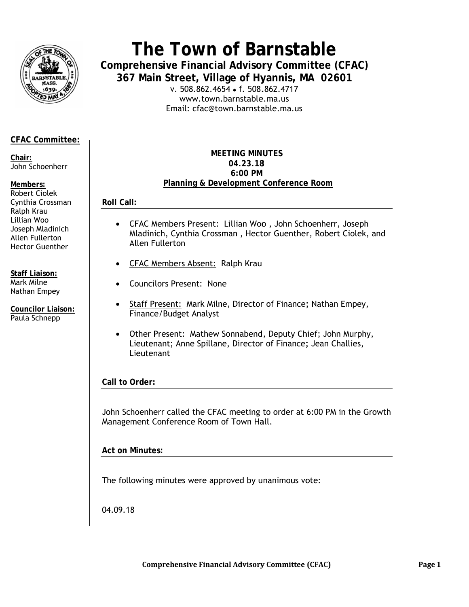

# The Town of Barnstable

**Comprehensive Financial Advisory Committee (CFAC)** 367 Main Street, Village of Hyannis, MA 02601

v. 508.862.4654 • f. 508.862.4717 www.town.barnstable.ma.us Email: cfac@town.barnstable.ma.us

# **CFAC Committee:**

Chair: John Schoenherr

#### Members:

Robert Ciolek Cynthia Crossman Ralph Krau Lillian Woo Joseph Mladinich Allen Fullerton **Hector Guenther** 

**Staff Liaison:** Mark Milne Nathan Empey

**Councilor Liaison:** Paula Schnepp

#### **MEETING MINUTES** 04.23.18 6:00 PM Planning & Development Conference Room

**Roll Call:** 

- CFAC Members Present: Lillian Woo, John Schoenherr, Joseph  $\bullet$ Mladinich, Cynthia Crossman, Hector Guenther, Robert Ciolek, and Allen Fullerton
- CFAC Members Absent: Ralph Krau
- Councilors Present: None
- Staff Present: Mark Milne, Director of Finance; Nathan Empey, Finance/Budget Analyst
- Other Present: Mathew Sonnabend, Deputy Chief; John Murphy,  $\bullet$ Lieutenant; Anne Spillane, Director of Finance; Jean Challies, Lieutenant

Call to Order:

John Schoenherr called the CFAC meeting to order at 6:00 PM in the Growth Management Conference Room of Town Hall.

**Act on Minutes:** 

The following minutes were approved by unanimous vote:

04.09.18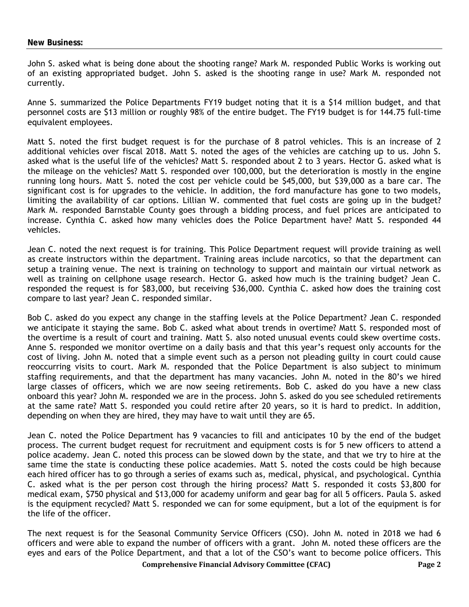John S. asked what is being done about the shooting range? Mark M. responded Public Works is working out of an existing appropriated budget. John S. asked is the shooting range in use? Mark M. responded not currently.

Anne S. summarized the Police Departments FY19 budget noting that it is a \$14 million budget, and that personnel costs are \$13 million or roughly 98% of the entire budget. The FY19 budget is for 144.75 full-time equivalent employees.

Matt S. noted the first budget request is for the purchase of 8 patrol vehicles. This is an increase of 2 additional vehicles over fiscal 2018. Matt S. noted the ages of the vehicles are catching up to us. John S. asked what is the useful life of the vehicles? Matt S. responded about 2 to 3 years. Hector G. asked what is the mileage on the vehicles? Matt S. responded over 100,000, but the deterioration is mostly in the engine running long hours. Matt S. noted the cost per vehicle could be \$45,000, but \$39,000 as a bare car. The significant cost is for upgrades to the vehicle. In addition, the ford manufacture has gone to two models, limiting the availability of car options. Lillian W. commented that fuel costs are going up in the budget? Mark M. responded Barnstable County goes through a bidding process, and fuel prices are anticipated to increase. Cynthia C. asked how many vehicles does the Police Department have? Matt S. responded 44 vehicles.

Jean C. noted the next request is for training. This Police Department request will provide training as well as create instructors within the department. Training areas include narcotics, so that the department can setup a training venue. The next is training on technology to support and maintain our virtual network as well as training on cellphone usage research. Hector G. asked how much is the training budget? Jean C. responded the request is for \$83,000, but receiving \$36,000. Cynthia C. asked how does the training cost compare to last year? Jean C. responded similar.

Bob C. asked do you expect any change in the staffing levels at the Police Department? Jean C. responded we anticipate it staying the same. Bob C. asked what about trends in overtime? Matt S. responded most of the overtime is a result of court and training. Matt S. also noted unusual events could skew overtime costs. Anne S. responded we monitor overtime on a daily basis and that this year's request only accounts for the cost of living. John M. noted that a simple event such as a person not pleading guilty in court could cause reoccurring visits to court. Mark M. responded that the Police Department is also subject to minimum staffing requirements, and that the department has many vacancies. John M. noted in the 80's we hired large classes of officers, which we are now seeing retirements. Bob C. asked do you have a new class onboard this year? John M. responded we are in the process. John S. asked do you see scheduled retirements at the same rate? Matt S. responded you could retire after 20 years, so it is hard to predict. In addition, depending on when they are hired, they may have to wait until they are 65.

Jean C. noted the Police Department has 9 vacancies to fill and anticipates 10 by the end of the budget process. The current budget request for recruitment and equipment costs is for 5 new officers to attend a police academy. Jean C. noted this process can be slowed down by the state, and that we try to hire at the same time the state is conducting these police academies. Matt S. noted the costs could be high because each hired officer has to go through a series of exams such as, medical, physical, and psychological. Cynthia C. asked what is the per person cost through the hiring process? Matt S. responded it costs \$3,800 for medical exam, \$750 physical and \$13,000 for academy uniform and gear bag for all 5 officers. Paula S. asked is the equipment recycled? Matt S. responded we can for some equipment, but a lot of the equipment is for the life of the officer.

The next request is for the Seasonal Community Service Officers (CSO). John M. noted in 2018 we had 6 officers and were able to expand the number of officers with a grant. John M. noted these officers are the eyes and ears of the Police Department, and that a lot of the CSO's want to become police officers. This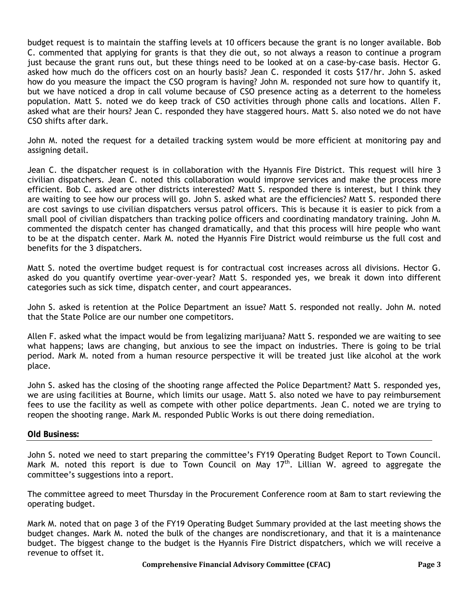budget request is to maintain the staffing levels at 10 officers because the grant is no longer available. Bob C. commented that applying for grants is that they die out, so not always a reason to continue a program just because the grant runs out, but these things need to be looked at on a case-by-case basis. Hector G. asked how much do the officers cost on an hourly basis? Jean C. responded it costs \$17/hr. John S. asked how do you measure the impact the CSO program is having? John M. responded not sure how to quantify it, but we have noticed a drop in call volume because of CSO presence acting as a deterrent to the homeless population. Matt S. noted we do keep track of CSO activities through phone calls and locations. Allen F. asked what are their hours? Jean C. responded they have staggered hours. Matt S. also noted we do not have CSO shifts after dark.

John M. noted the request for a detailed tracking system would be more efficient at monitoring pay and assigning detail.

Jean C. the dispatcher request is in collaboration with the Hyannis Fire District. This request will hire 3 civilian dispatchers. Jean C. noted this collaboration would improve services and make the process more efficient. Bob C. asked are other districts interested? Matt S. responded there is interest, but I think they are waiting to see how our process will go. John S. asked what are the efficiencies? Matt S. responded there are cost savings to use civilian dispatchers versus patrol officers. This is because it is easier to pick from a small pool of civilian dispatchers than tracking police officers and coordinating mandatory training. John M. commented the dispatch center has changed dramatically, and that this process will hire people who want to be at the dispatch center. Mark M. noted the Hyannis Fire District would reimburse us the full cost and benefits for the 3 dispatchers.

Matt S. noted the overtime budget request is for contractual cost increases across all divisions. Hector G. asked do you quantify overtime year-over-year? Matt S. responded yes, we break it down into different categories such as sick time, dispatch center, and court appearances.

John S. asked is retention at the Police Department an issue? Matt S. responded not really. John M. noted that the State Police are our number one competitors.

Allen F. asked what the impact would be from legalizing marijuana? Matt S. responded we are waiting to see what happens; laws are changing, but anxious to see the impact on industries. There is going to be trial period. Mark M. noted from a human resource perspective it will be treated just like alcohol at the work place.

John S. asked has the closing of the shooting range affected the Police Department? Matt S. responded yes, we are using facilities at Bourne, which limits our usage. Matt S. also noted we have to pay reimbursement fees to use the facility as well as compete with other police departments. Jean C. noted we are trying to reopen the shooting range. Mark M. responded Public Works is out there doing remediation.

#### **Old Business:**

John S. noted we need to start preparing the committee's FY19 Operating Budget Report to Town Council. Mark M. noted this report is due to Town Council on May  $17<sup>th</sup>$ . Lillian W. agreed to aggregate the committee's suggestions into a report.

The committee agreed to meet Thursday in the Procurement Conference room at 8am to start reviewing the operating budget.

Mark M. noted that on page 3 of the FY19 Operating Budget Summary provided at the last meeting shows the budget changes. Mark M. noted the bulk of the changes are nondiscretionary, and that it is a maintenance budget. The biggest change to the budget is the Hyannis Fire District dispatchers, which we will receive a revenue to offset it.